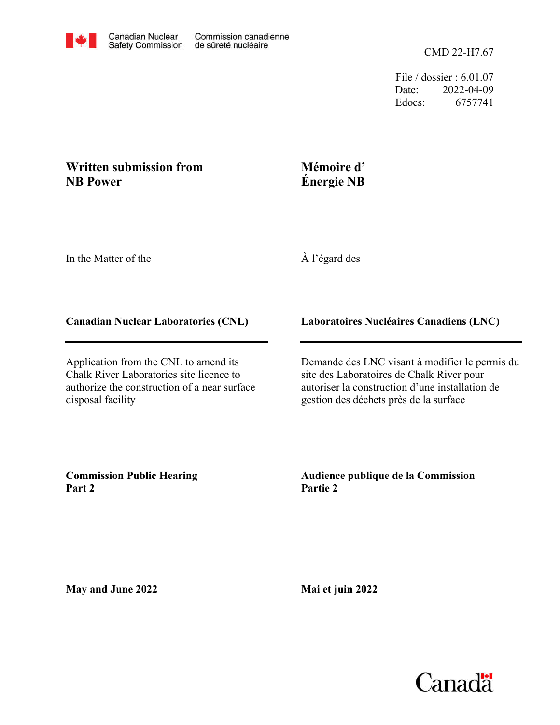File / dossier : 6.01.07 Date: 2022-04-09 Edocs: 6757741

# **Written submission from NB Power**

# **Mémoire d' Énergie NB**

In the Matter of the

À l'égard des

# **Canadian Nuclear Laboratories (CNL)**

Application from the CNL to amend its Chalk River Laboratories site licence to authorize the construction of a near surface disposal facility

**Laboratoires Nucléaires Canadiens (LNC)**

Demande des LNC visant à modifier le permis du site des Laboratoires de Chalk River pour autoriser la construction d'une installation de gestion des déchets près de la surface

**Commission Public Hearing Part 2**

**Audience publique de la Commission Partie 2**

**May and June 2022**

**Mai et juin 2022**

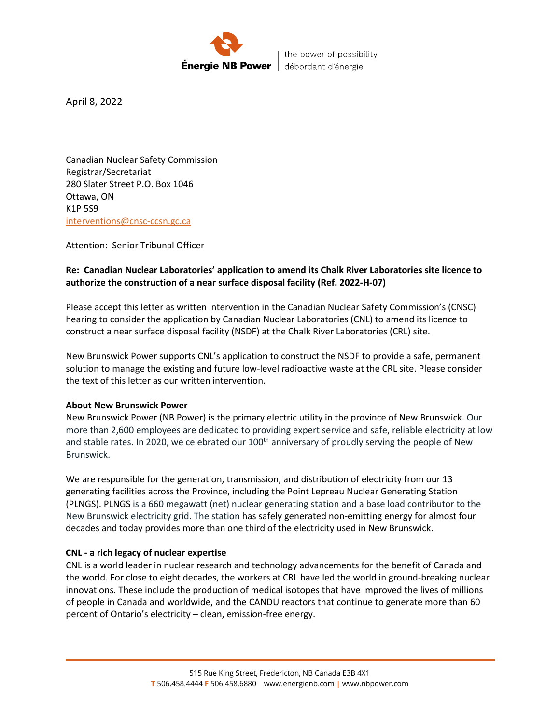

the power of possibility débordant d'énergie

April 8, 2022

Canadian Nuclear Safety Commission Registrar/Secretariat 280 Slater Street P.O. Box 1046 Ottawa, ON K1P 5S9 [interventions@cnsc-ccsn.gc.ca](mailto:interventions@cnsc-ccsn.gc.ca)

Attention: Senior Tribunal Officer

# **Re: Canadian Nuclear Laboratories' application to amend its Chalk River Laboratories site licence to authorize the construction of a near surface disposal facility (Ref. 2022-H-07)**

Please accept this letter as written intervention in the Canadian Nuclear Safety Commission's (CNSC) hearing to consider the application by Canadian Nuclear Laboratories (CNL) to amend its licence to construct a near surface disposal facility (NSDF) at the Chalk River Laboratories (CRL) site.

New Brunswick Power supports CNL's application to construct the NSDF to provide a safe, permanent solution to manage the existing and future low-level radioactive waste at the CRL site. Please consider the text of this letter as our written intervention.

### **About New Brunswick Power**

New Brunswick Power (NB Power) is the primary electric utility in the province of New Brunswick. Our more than 2,600 employees are dedicated to providing expert service and safe, reliable electricity at low and stable rates. In 2020, we celebrated our 100<sup>th</sup> anniversary of proudly serving the people of New Brunswick.

We are responsible for the generation, transmission, and distribution of electricity from our 13 generating facilities across the Province, including the Point Lepreau Nuclear Generating Station (PLNGS). PLNGS is a 660 megawatt (net) nuclear generating station and a base load contributor to the New Brunswick electricity grid. The station has safely generated non-emitting energy for almost four decades and today provides more than one third of the electricity used in New Brunswick.

### **CNL - a rich legacy of nuclear expertise**

CNL is a world leader in nuclear research and technology advancements for the benefit of Canada and the world. For close to eight decades, the workers at CRL have led the world in ground-breaking nuclear innovations. These include the production of medical isotopes that have improved the lives of millions of people in Canada and worldwide, and the CANDU reactors that continue to generate more than 60 percent of Ontario's electricity – clean, emission-free energy.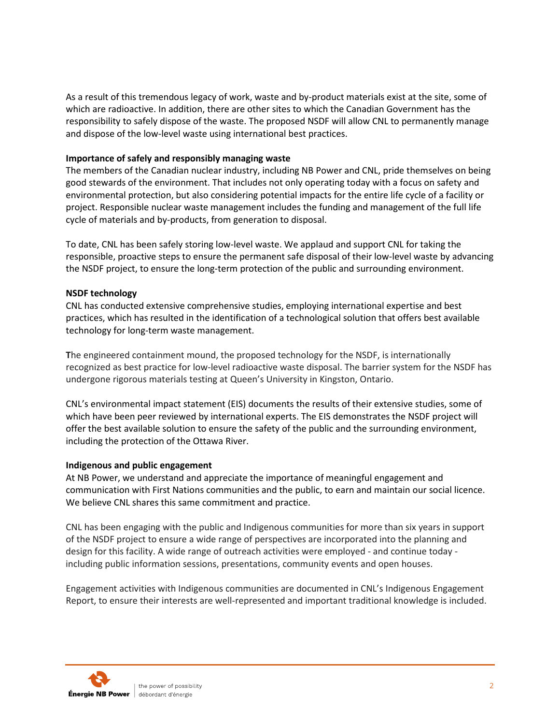As a result of this tremendous legacy of work, waste and by-product materials exist at the site, some of which are radioactive. In addition, there are other sites to which the Canadian Government has the responsibility to safely dispose of the waste. The proposed NSDF will allow CNL to permanently manage and dispose of the low-level waste using international best practices.

# **Importance of safely and responsibly managing waste**

The members of the Canadian nuclear industry, including NB Power and CNL, pride themselves on being good stewards of the environment. That includes not only operating today with a focus on safety and environmental protection, but also considering potential impacts for the entire life cycle of a facility or project. Responsible nuclear waste management includes the funding and management of the full life cycle of materials and by-products, from generation to disposal.

To date, CNL has been safely storing low-level waste. We applaud and support CNL for taking the responsible, proactive steps to ensure the permanent safe disposal of their low-level waste by advancing the NSDF project, to ensure the long-term protection of the public and surrounding environment.

### **NSDF technology**

CNL has conducted extensive comprehensive studies, employing international expertise and best practices, which has resulted in the identification of a technological solution that offers best available technology for long-term waste management.

**T**he engineered containment mound, the proposed technology for the NSDF, is internationally recognized as best practice for low-level radioactive waste disposal. The barrier system for the NSDF has undergone rigorous materials testing at Queen's University in Kingston, Ontario.

CNL's environmental impact statement (EIS) documents the results of their extensive studies, some of which have been peer reviewed by international experts. The EIS demonstrates the NSDF project will offer the best available solution to ensure the safety of the public and the surrounding environment, including the protection of the Ottawa River.

### **Indigenous and public engagement**

At NB Power, we understand and appreciate the importance of meaningful engagement and communication with First Nations communities and the public, to earn and maintain our social licence. We believe CNL shares this same commitment and practice.

CNL has been engaging with the public and Indigenous communities for more than six years in support of the NSDF project to ensure a wide range of perspectives are incorporated into the planning and design for this facility. A wide range of outreach activities were employed - and continue today including public information sessions, presentations, community events and open houses.

Engagement activities with Indigenous communities are documented in CNL's Indigenous Engagement Report, to ensure their interests are well-represented and important traditional knowledge is included.